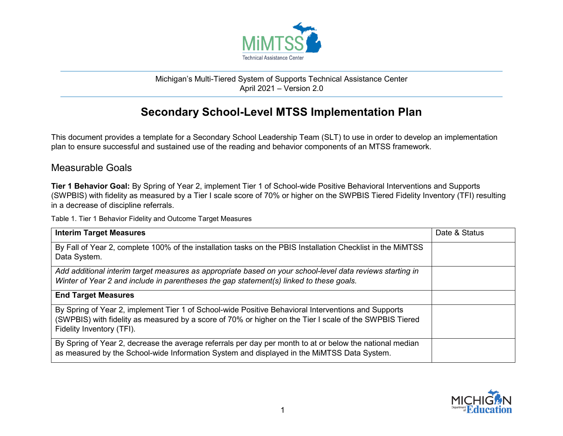

## Michigan's Multi-Tiered System of Supports Technical Assistance Center April 2021 – Version 2.0

## **Secondary School-Level MTSS Implementation Plan**

This document provides a template for a Secondary School Leadership Team (SLT) to use in order to develop an implementation plan to ensure successful and sustained use of the reading and behavior components of an MTSS framework.

## Measurable Goals

**Tier 1 Behavior Goal:** By Spring of Year 2, implement Tier 1 of School-wide Positive Behavioral Interventions and Supports (SWPBIS) with fidelity as measured by a Tier I scale score of 70% or higher on the SWPBIS Tiered Fidelity Inventory (TFI) resulting in a decrease of discipline referrals.

Table 1. Tier 1 Behavior Fidelity and Outcome Target Measures

| <b>Interim Target Measures</b>                                                                                                                                                                                                              | Date & Status |
|---------------------------------------------------------------------------------------------------------------------------------------------------------------------------------------------------------------------------------------------|---------------|
| By Fall of Year 2, complete 100% of the installation tasks on the PBIS Installation Checklist in the MiMTSS<br>Data System.                                                                                                                 |               |
| Add additional interim target measures as appropriate based on your school-level data reviews starting in<br>Winter of Year 2 and include in parentheses the gap statement(s) linked to these goals.                                        |               |
| <b>End Target Measures</b>                                                                                                                                                                                                                  |               |
| By Spring of Year 2, implement Tier 1 of School-wide Positive Behavioral Interventions and Supports<br>(SWPBIS) with fidelity as measured by a score of 70% or higher on the Tier I scale of the SWPBIS Tiered<br>Fidelity Inventory (TFI). |               |
| By Spring of Year 2, decrease the average referrals per day per month to at or below the national median<br>as measured by the School-wide Information System and displayed in the MiMTSS Data System.                                      |               |

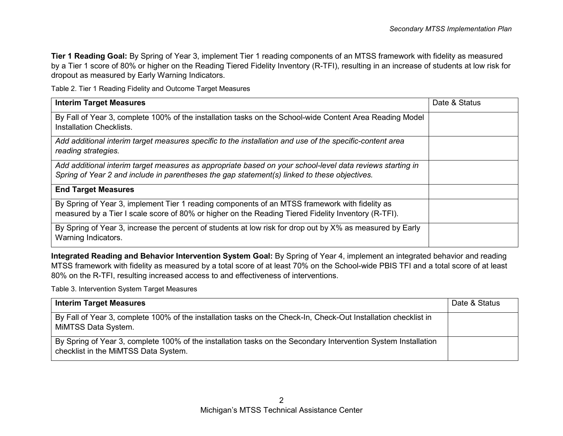**Tier 1 Reading Goal:** By Spring of Year 3, implement Tier 1 reading components of an MTSS framework with fidelity as measured by a Tier 1 score of 80% or higher on the Reading Tiered Fidelity Inventory (R-TFI), resulting in an increase of students at low risk for dropout as measured by Early Warning Indicators.

Table 2. Tier 1 Reading Fidelity and Outcome Target Measures

| <b>Interim Target Measures</b>                                                                                                                                                                            | Date & Status |
|-----------------------------------------------------------------------------------------------------------------------------------------------------------------------------------------------------------|---------------|
| By Fall of Year 3, complete 100% of the installation tasks on the School-wide Content Area Reading Model<br><b>Installation Checklists.</b>                                                               |               |
| Add additional interim target measures specific to the installation and use of the specific-content area<br>reading strategies.                                                                           |               |
| Add additional interim target measures as appropriate based on your school-level data reviews starting in<br>Spring of Year 2 and include in parentheses the gap statement(s) linked to these objectives. |               |
| <b>End Target Measures</b>                                                                                                                                                                                |               |
| By Spring of Year 3, implement Tier 1 reading components of an MTSS framework with fidelity as<br>measured by a Tier I scale score of 80% or higher on the Reading Tiered Fidelity Inventory (R-TFI).     |               |
| By Spring of Year 3, increase the percent of students at low risk for drop out by X% as measured by Early<br>Warning Indicators.                                                                          |               |

**Integrated Reading and Behavior Intervention System Goal:** By Spring of Year 4, implement an integrated behavior and reading MTSS framework with fidelity as measured by a total score of at least 70% on the School-wide PBIS TFI and a total score of at least 80% on the R-TFI, resulting increased access to and effectiveness of interventions.

Table 3. Intervention System Target Measures

| <b>Interim Target Measures</b>                                                                                                                         | Date & Status |
|--------------------------------------------------------------------------------------------------------------------------------------------------------|---------------|
| By Fall of Year 3, complete 100% of the installation tasks on the Check-In, Check-Out Installation checklist in<br>MiMTSS Data System.                 |               |
| By Spring of Year 3, complete 100% of the installation tasks on the Secondary Intervention System Installation<br>checklist in the MiMTSS Data System. |               |